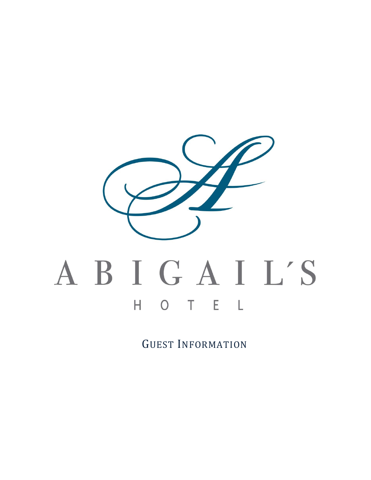

# ABIGAIL'S H O T E L

GUEST INFORMATION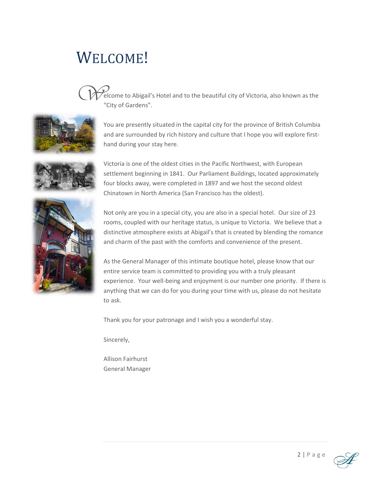# WELCOME!



elcome to Abigail's Hotel and to the beautiful city of Victoria, also known as the "City of Gardens".



You are presently situated in the capital city for the province of British Columbia and are surrounded by rich history and culture that I hope you will explore firsthand during your stay here.



Victoria is one of the oldest cities in the Pacific Northwest, with European settlement beginning in 1841. Our Parliament Buildings, located approximately four blocks away, were completed in 1897 and we host the second oldest Chinatown in North America (San Francisco has the oldest).



Not only are you in a special city, you are also in a special hotel. Our size of 23 rooms, coupled with our heritage status, is unique to Victoria. We believe that a distinctive atmosphere exists at Abigail's that is created by blending the romance and charm of the past with the comforts and convenience of the present.

As the General Manager of this intimate boutique hotel, please know that our entire service team is committed to providing you with a truly pleasant experience. Your well-being and enjoyment is our number one priority. If there is anything that we can do for you during your time with us, please do not hesitate to ask.

Thank you for your patronage and I wish you a wonderful stay.

Sincerely,

Allison Fairhurst General Manager

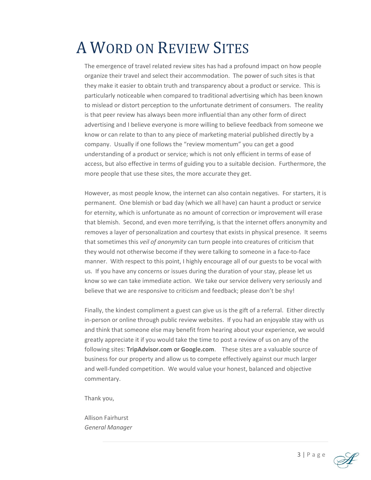# A WORD ON REVIEW SITES

The emergence of travel related review sites has had a profound impact on how people organize their travel and select their accommodation. The power of such sites is that they make it easier to obtain truth and transparency about a product or service. This is particularly noticeable when compared to traditional advertising which has been known to mislead or distort perception to the unfortunate detriment of consumers. The reality is that peer review has always been more influential than any other form of direct advertising and I believe everyone is more willing to believe feedback from someone we know or can relate to than to any piece of marketing material published directly by a company. Usually if one follows the "review momentum" you can get a good understanding of a product or service; which is not only efficient in terms of ease of access, but also effective in terms of guiding you to a suitable decision. Furthermore, the more people that use these sites, the more accurate they get.

However, as most people know, the internet can also contain negatives. For starters, it is permanent. One blemish or bad day (which we all have) can haunt a product or service for eternity, which is unfortunate as no amount of correction or improvement will erase that blemish. Second, and even more terrifying, is that the internet offers anonymity and removes a layer of personalization and courtesy that exists in physical presence. It seems that sometimes this *veil of anonymity* can turn people into creatures of criticism that they would not otherwise become if they were talking to someone in a face-to-face manner. With respect to this point, I highly encourage all of our guests to be vocal with us. If you have any concerns or issues during the duration of your stay, please let us know so we can take immediate action. We take our service delivery very seriously and believe that we are responsive to criticism and feedback; please don't be shy!

Finally, the kindest compliment a guest can give us is the gift of a referral. Either directly in-person or online through public review websites. If you had an enjoyable stay with us and think that someone else may benefit from hearing about your experience, we would greatly appreciate it if you would take the time to post a review of us on any of the following sites: **TripAdvisor.com or Google.com**. These sites are a valuable source of business for our property and allow us to compete effectively against our much larger and well-funded competition. We would value your honest, balanced and objective commentary.

Thank you,

Allison Fairhurst *General Manager*

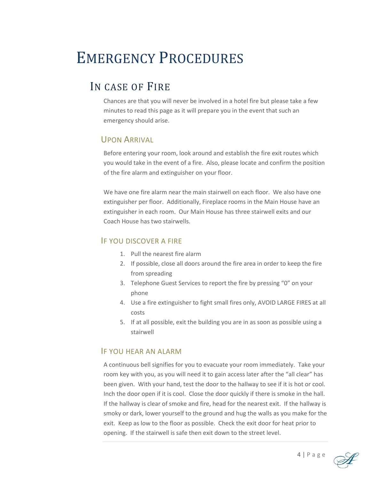# EMERGENCY PROCEDURES

# IN CASE OF FIRE

Chances are that you will never be involved in a hotel fire but please take a few minutes to read this page as it will prepare you in the event that such an emergency should arise.

#### UPON ARRIVAL

Before entering your room, look around and establish the fire exit routes which you would take in the event of a fire. Also, please locate and confirm the position of the fire alarm and extinguisher on your floor.

We have one fire alarm near the main stairwell on each floor. We also have one extinguisher per floor. Additionally, Fireplace rooms in the Main House have an extinguisher in each room. Our Main House has three stairwell exits and our Coach House has two stairwells.

#### IF YOU DISCOVER A FIRE

- 1. Pull the nearest fire alarm
- 2. If possible, close all doors around the fire area in order to keep the fire from spreading
- 3. Telephone Guest Services to report the fire by pressing "0" on your phone
- 4. Use a fire extinguisher to fight small fires only, AVOID LARGE FIRES at all costs
- 5. If at all possible, exit the building you are in as soon as possible using a stairwell

#### IF YOU HEAR AN ALARM

A continuous bell signifies for you to evacuate your room immediately. Take your room key with you, as you will need it to gain access later after the "all clear" has been given. With your hand, test the door to the hallway to see if it is hot or cool. Inch the door open if it is cool. Close the door quickly if there is smoke in the hall. If the hallway is clear of smoke and fire, head for the nearest exit. If the hallway is smoky or dark, lower yourself to the ground and hug the walls as you make for the exit. Keep as low to the floor as possible. Check the exit door for heat prior to opening. If the stairwell is safe then exit down to the street level.

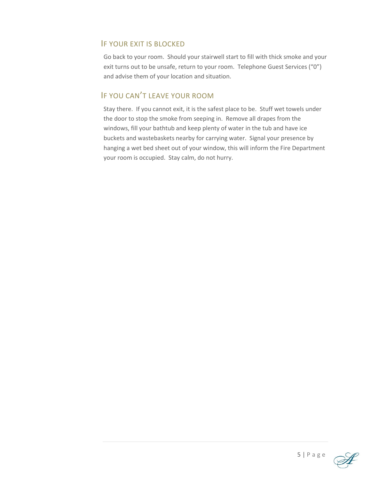#### IF YOUR EXIT IS BLOCKED

Go back to your room. Should your stairwell start to fill with thick smoke and your exit turns out to be unsafe, return to your room. Telephone Guest Services ("0") and advise them of your location and situation.

#### IF YOU CAN'T LEAVE YOUR ROOM

Stay there. If you cannot exit, it is the safest place to be. Stuff wet towels under the door to stop the smoke from seeping in. Remove all drapes from the windows, fill your bathtub and keep plenty of water in the tub and have ice buckets and wastebaskets nearby for carrying water. Signal your presence by hanging a wet bed sheet out of your window, this will inform the Fire Department your room is occupied. Stay calm, do not hurry.

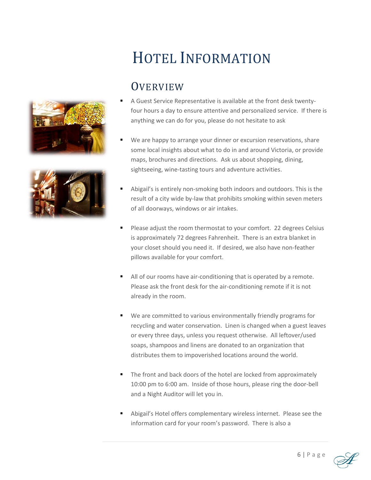



# HOTEL INFORMATION

# **OVERVIEW**

- A Guest Service Representative is available at the front desk twentyfour hours a day to ensure attentive and personalized service. If there is anything we can do for you, please do not hesitate to ask
- We are happy to arrange your dinner or excursion reservations, share some local insights about what to do in and around Victoria, or provide maps, brochures and directions. Ask us about shopping, dining, sightseeing, wine-tasting tours and adventure activities.
- Abigail's is entirely non-smoking both indoors and outdoors. This is the result of a city wide by-law that prohibits smoking within seven meters of all doorways, windows or air intakes.
- Please adjust the room thermostat to your comfort. 22 degrees Celsius is approximately 72 degrees Fahrenheit. There is an extra blanket in your closet should you need it. If desired, we also have non-feather pillows available for your comfort.
- All of our rooms have air-conditioning that is operated by a remote. Please ask the front desk for the air-conditioning remote if it is not already in the room.
- We are committed to various environmentally friendly programs for recycling and water conservation. Linen is changed when a guest leaves or every three days, unless you request otherwise. All leftover/used soaps, shampoos and linens are donated to an organization that distributes them to impoverished locations around the world.
- The front and back doors of the hotel are locked from approximately 10:00 pm to 6:00 am. Inside of those hours, please ring the door-bell and a Night Auditor will let you in.
- Abigail's Hotel offers complementary wireless internet. Please see the information card for your room's password. There is also a

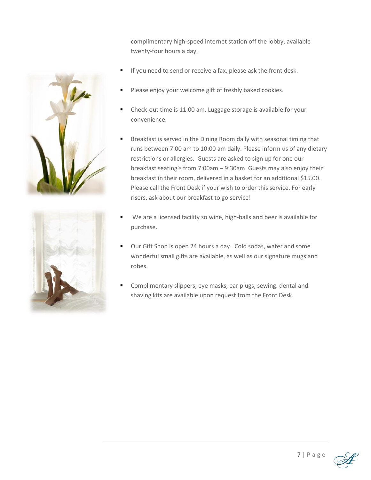complimentary high-speed internet station off the lobby, available twenty-four hours a day.

- If you need to send or receive a fax, please ask the front desk.
- Please enjoy your welcome gift of freshly baked cookies.
- Check-out time is 11:00 am. Luggage storage is available for your convenience.
- Breakfast is served in the Dining Room daily with seasonal timing that runs between 7:00 am to 10:00 am daily. Please inform us of any dietary restrictions or allergies. Guests are asked to sign up for one our breakfast seating's from 7:00am – 9:30am Guests may also enjoy their breakfast in their room, delivered in a basket for an additional \$15.00. Please call the Front Desk if your wish to order this service. For early risers, ask about our breakfast to go service!
- We are a licensed facility so wine, high-balls and beer is available for purchase.
- Our Gift Shop is open 24 hours a day. Cold sodas, water and some wonderful small gifts are available, as well as our signature mugs and robes.
- Complimentary slippers, eye masks, ear plugs, sewing. dental and shaving kits are available upon request from the Front Desk.





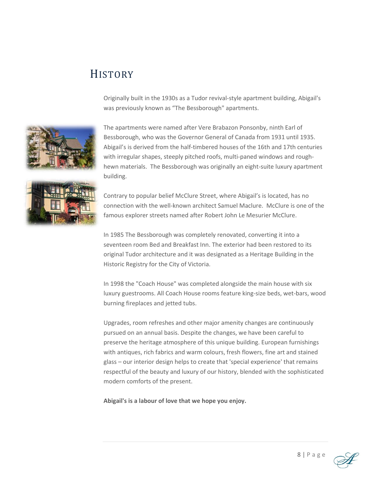# **HISTORY**

Originally built in the 1930s as a Tudor revival-style apartment building, Abigail's was previously known as "The Bessborough" apartments.



The apartments were named after Vere Brabazon Ponsonby, ninth Earl of Bessborough, who was the Governor General of Canada from 1931 until 1935. Abigail's is derived from the half-timbered houses of the 16th and 17th centuries with irregular shapes, steeply pitched roofs, multi-paned windows and roughhewn materials. The Bessborough was originally an eight-suite luxury apartment building.



Contrary to popular belief McClure Street, where Abigail's is located, has no connection with the well-known architect Samuel Maclure. McClure is one of the famous explorer streets named after Robert John Le Mesurier McClure.

In 1985 The Bessborough was completely renovated, converting it into a seventeen room Bed and Breakfast Inn. The exterior had been restored to its original Tudor architecture and it was designated as a Heritage Building in the Historic Registry for the City of Victoria.

In 1998 the "Coach House" was completed alongside the main house with six luxury guestrooms. All Coach House rooms feature king-size beds, wet-bars, wood burning fireplaces and jetted tubs.

Upgrades, room refreshes and other major amenity changes are continuously pursued on an annual basis. Despite the changes, we have been careful to preserve the heritage atmosphere of this unique building. European furnishings with antiques, rich fabrics and warm colours, fresh flowers, fine art and stained glass – our interior design helps to create that 'special experience' that remains respectful of the beauty and luxury of our history, blended with the sophisticated modern comforts of the present.

**Abigail's is a labour of love that we hope you enjoy.**

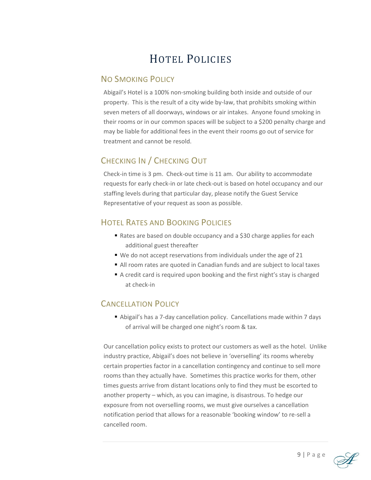# HOTEL POLICIES

#### NO SMOKING POLICY

Abigail's Hotel is a 100% non-smoking building both inside and outside of our property. This is the result of a city wide by-law, that prohibits smoking within seven meters of all doorways, windows or air intakes. Anyone found smoking in their rooms or in our common spaces will be subject to a \$200 penalty charge and may be liable for additional fees in the event their rooms go out of service for treatment and cannot be resold.

### CHECKING IN / CHECKING OUT

Check-in time is 3 pm. Check-out time is 11 am. Our ability to accommodate requests for early check-in or late check-out is based on hotel occupancy and our staffing levels during that particular day, please notify the Guest Service Representative of your request as soon as possible.

### HOTEL RATES AND BOOKING POLICIES

- Rates are based on double occupancy and a \$30 charge applies for each additional guest thereafter
- We do not accept reservations from individuals under the age of 21
- All room rates are quoted in Canadian funds and are subject to local taxes
- A credit card is required upon booking and the first night's stay is charged at check-in

#### CANCELLATION POLICY

■ Abigail's has a 7-day cancellation policy. Cancellations made within 7 days of arrival will be charged one night's room & tax.

Our cancellation policy exists to protect our customers as well as the hotel. Unlike industry practice, Abigail's does not believe in 'overselling' its rooms whereby certain properties factor in a cancellation contingency and continue to sell more rooms than they actually have. Sometimes this practice works for them, other times guests arrive from distant locations only to find they must be escorted to another property – which, as you can imagine, is disastrous. To hedge our exposure from not overselling rooms, we must give ourselves a cancellation notification period that allows for a reasonable 'booking window' to re-sell a cancelled room.

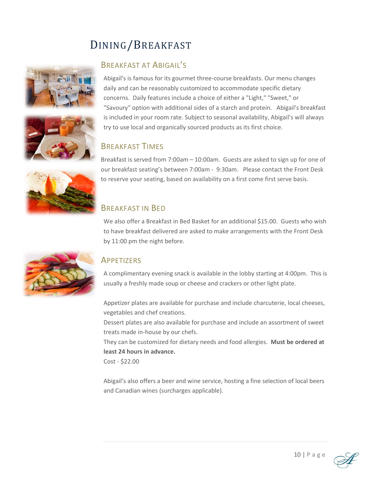# DINING/BREAKFAST





#### BREAKFAST AT ABIGAIL'S

Abigail's is famous for its gourmet three-course breakfasts. Our menu changes daily and can be reasonably customized to accommodate specific dietary concerns. Daily features include a choice of either a "Light," "Sweet," or "Savoury" option with additional sides of a starch and protein. Abigail's breakfast is included in your room rate. Subject to seasonal availability, Abigail's will always try to use local and organically sourced products as its first choice.

#### BREAKFAST TIMES

Breakfast is served from 7:00am – 10:00am. Guests are asked to sign up for one of our breakfast seating's between 7:00am - 9:30am. Please contact the Front Desk to reserve your seating, based on availability on a first come first serve basis.

#### BREAKFAST IN BED

We also offer a Breakfast in Bed Basket for an additional \$15.00. Guests who wish to have breakfast delivered are asked to make arrangements with the Front Desk by 11:00 pm the night before.



#### **APPETIZERS**

A complimentary evening snack is available in the lobby starting at 4:00pm. This is usually a freshly made soup or cheese and crackers or other light plate.

Appetizer plates are available for purchase and include charcuterie, local cheeses, vegetables and chef creations.

Dessert plates are also available for purchase and include an assortment of sweet treats made in-house by our chefs.

They can be customized for dietary needs and food allergies. **Must be ordered at least 24 hours in advance.**

Cost - \$22.00

Abigail's also offers a beer and wine service, hosting a fine selection of local beers and Canadian wines (surcharges applicable).

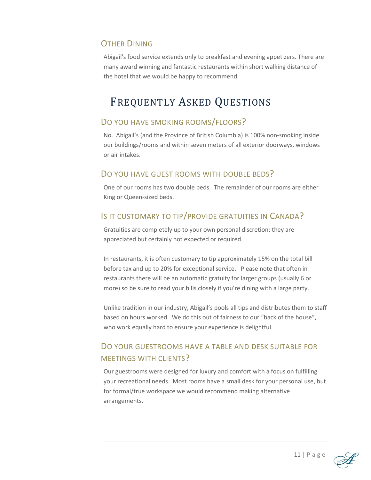#### **OTHER DINING**

Abigail's food service extends only to breakfast and evening appetizers. There are many award winning and fantastic restaurants within short walking distance of the hotel that we would be happy to recommend.

# FREQUENTLY ASKED QUESTIONS

#### DO YOU HAVE SMOKING ROOMS/FLOORS?

No. Abigail's (and the Province of British Columbia) is 100% non-smoking inside our buildings/rooms and within seven meters of all exterior doorways, windows or air intakes.

#### DO YOU HAVE GUEST ROOMS WITH DOUBLE BEDS?

One of our rooms has two double beds. The remainder of our rooms are either King or Queen-sized beds.

#### IS IT CUSTOMARY TO TIP/PROVIDE GRATUITIES IN CANADA?

Gratuities are completely up to your own personal discretion; they are appreciated but certainly not expected or required.

In restaurants, it is often customary to tip approximately 15% on the total bill before tax and up to 20% for exceptional service. Please note that often in restaurants there will be an automatic gratuity for larger groups (usually 6 or more) so be sure to read your bills closely if you're dining with a large party.

Unlike tradition in our industry, Abigail's pools all tips and distributes them to staff based on hours worked. We do this out of fairness to our "back of the house", who work equally hard to ensure your experience is delightful.

### DO YOUR GUESTROOMS HAVE A TABLE AND DESK SUITABLE FOR MEETINGS WITH CLIENTS?

Our guestrooms were designed for luxury and comfort with a focus on fulfilling your recreational needs. Most rooms have a small desk for your personal use, but for formal/true workspace we would recommend making alternative arrangements.

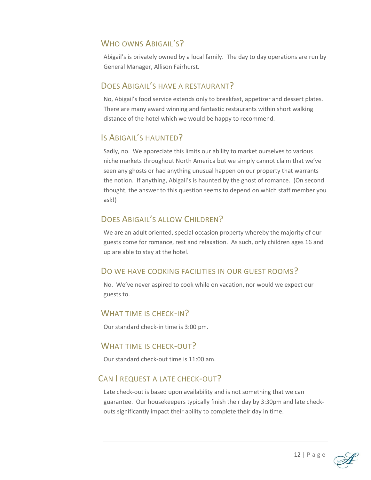#### WHO OWNS ABIGALL'S?

Abigail's is privately owned by a local family. The day to day operations are run by General Manager, Allison Fairhurst.

#### DOES ABIGAIL'S HAVE A RESTAURANT?

No, Abigail's food service extends only to breakfast, appetizer and dessert plates. There are many award winning and fantastic restaurants within short walking distance of the hotel which we would be happy to recommend.

#### IS ABIGAIL'S HAUNTED?

Sadly, no. We appreciate this limits our ability to market ourselves to various niche markets throughout North America but we simply cannot claim that we've seen any ghosts or had anything unusual happen on our property that warrants the notion. If anything, Abigail's is haunted by the ghost of romance. (On second thought, the answer to this question seems to depend on which staff member you ask!)

#### DOES ABIGAIL'S ALLOW CHILDREN?

We are an adult oriented, special occasion property whereby the majority of our guests come for romance, rest and relaxation. As such, only children ages 16 and up are able to stay at the hotel.

#### DO WE HAVE COOKING FACILITIES IN OUR GUEST ROOMS?

No. We've never aspired to cook while on vacation, nor would we expect our guests to.

#### WHAT TIME IS CHECK-IN?

Our standard check-in time is 3:00 pm.

#### WHAT TIME IS CHECK-OUT?

Our standard check-out time is 11:00 am.

#### CAN I REQUEST A LATE CHECK-OUT?

Late check-out is based upon availability and is not something that we can guarantee. Our housekeepers typically finish their day by 3:30pm and late checkouts significantly impact their ability to complete their day in time.

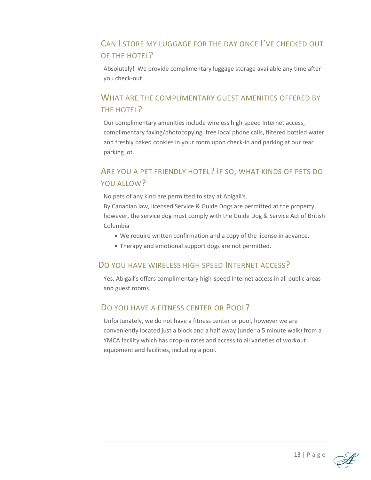## CAN I STORE MY LUGGAGE FOR THE DAY ONCE I'VE CHECKED OUT OF THE HOTEL?

Absolutely! We provide complimentary luggage storage available any time after you check-out.

### WHAT ARE THE COMPLIMENTARY GUEST AMENITIES OFFERED BY THE HOTEL?

Our complimentary amenities include wireless high-speed Internet access, complimentary faxing/photocopying, free local phone calls, filtered bottled water and freshly baked cookies in your room upon check-in and parking at our rear parking lot.

## ARE YOU A PET FRIENDLY HOTEL? IF SO, WHAT KINDS OF PETS DO YOU ALLOW?

No pets of any kind are permitted to stay at Abigail's.

By Canadian law, licensed Service & Guide Dogs are permitted at the property, however, the service dog must comply with the Guide Dog & Service Act of British Columbia

- We require written confirmation and a copy of the license in advance.
- Therapy and emotional support dogs are not permitted.

#### DO YOU HAVE WIRELESS HIGH SPEED INTERNET ACCESS?

Yes, Abigail's offers complimentary high-speed Internet access in all public areas and guest rooms.

#### DO YOU HAVE A FITNESS CENTER OR POOL?

Unfortunately, we do not have a fitness center or pool, however we are conveniently located just a block and a half away (under a 5 minute walk) from a YMCA facility which has drop-in rates and access to all varieties of workout equipment and facilities, including a pool.

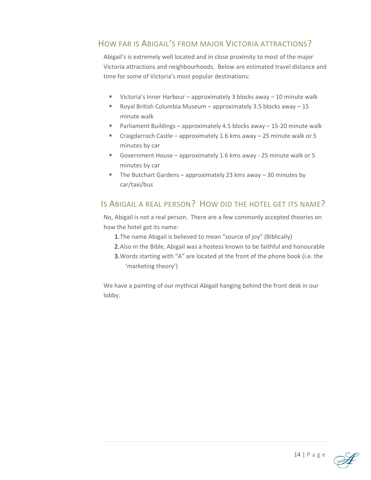#### HOW FAR IS ABIGAIL'S FROM MAJOR VICTORIA ATTRACTIONS?

Abigail's is extremely well located and in close proximity to most of the major Victoria attractions and neighbourhoods. Below are estimated travel distance and time for some of Victoria's most popular destinations:

- Victoria's Inner Harbour approximately 3 blocks away 10 minute walk
- **•** Royal British Columbia Museum approximately 3.5 blocks away 15 minute walk
- Parliament Buildings approximately 4.5 blocks away 15-20 minute walk
- Craigdarroch Castle approximately 1.6 kms away 25 minute walk or 5 minutes by car
- Government House approximately 1.6 kms away 25 minute walk or 5 minutes by car
- $\blacksquare$  The Butchart Gardens approximately 23 kms away 30 minutes by car/taxi/bus

#### IS ABIGAIL A REAL PERSON? HOW DID THE HOTEL GET ITS NAME?

No, Abigail is not a real person. There are a few commonly accepted theories on how the hotel got its name:

- 1.The name Abigail is believed to mean "source of joy" (Biblically)
- 2.Also in the Bible, Abigail was a hostess known to be faithful and honourable
- 3.Words starting with "A" are located at the front of the phone book (i.e. the 'marketing theory')

We have a painting of our mythical Abigail hanging behind the front desk in our lobby.

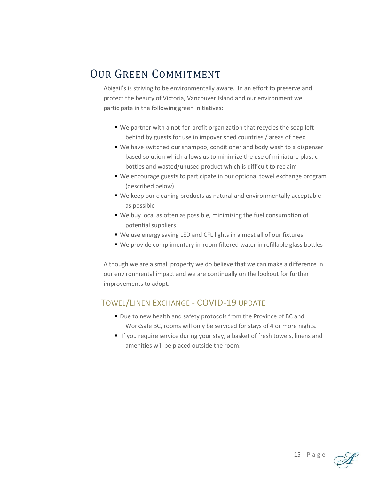# OUR GREEN COMMITMENT

Abigail's is striving to be environmentally aware. In an effort to preserve and protect the beauty of Victoria, Vancouver Island and our environment we participate in the following green initiatives:

- We partner with a not-for-profit organization that recycles the soap left behind by guests for use in impoverished countries / areas of need
- We have switched our shampoo, conditioner and body wash to a dispenser based solution which allows us to minimize the use of miniature plastic bottles and wasted/unused product which is difficult to reclaim
- We encourage guests to participate in our optional towel exchange program (described below)
- We keep our cleaning products as natural and environmentally acceptable as possible
- We buy local as often as possible, minimizing the fuel consumption of potential suppliers
- We use energy saving LED and CFL lights in almost all of our fixtures
- We provide complimentary in-room filtered water in refillable glass bottles

Although we are a small property we do believe that we can make a difference in our environmental impact and we are continually on the lookout for further improvements to adopt.

## TOWEL/LINEN EXCHANGE - COVID-19 UPDATE

- Due to new health and safety protocols from the Province of BC and WorkSafe BC, rooms will only be serviced for stays of 4 or more nights.
- If you require service during your stay, a basket of fresh towels, linens and amenities will be placed outside the room.

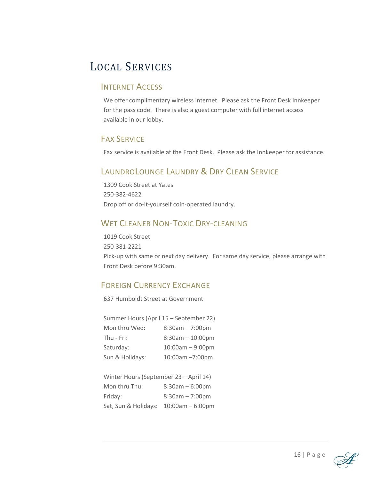# LOCAL SERVICES

#### INTERNET ACCESS

We offer complimentary wireless internet. Please ask the Front Desk Innkeeper for the pass code. There is also a guest computer with full internet access available in our lobby.

#### FAX SERVICE

Fax service is available at the Front Desk. Please ask the Innkeeper for assistance.

## LAUNDROLOUNGE LAUNDRY & DRY CLEAN SERVICE

1309 Cook Street at Yates 250-382-4622 Drop off or do-it-yourself coin-operated laundry.

#### WET CLEANER NON-TOXIC DRY-CLEANING

1019 Cook Street 250-381-2221 Pick-up with same or next day delivery. For same day service, please arrange with Front Desk before 9:30am.

#### FOREIGN CURRENCY EXCHANGE

637 Humboldt Street at Government

| Summer Hours (April 15 - September 22) |
|----------------------------------------|
| $8:30am - 7:00pm$                      |
| $8:30am - 10:00pm$                     |
| $10:00am - 9:00pm$                     |
| 10:00am -7:00pm                        |
|                                        |

| Winter Hours (September 23 - April 14) |                    |  |  |  |
|----------------------------------------|--------------------|--|--|--|
| Mon thru Thu:                          | $8:30am - 6:00pm$  |  |  |  |
| Friday:                                | $8:30am - 7:00pm$  |  |  |  |
| Sat, Sun & Holidays:                   | $10:00am - 6:00pm$ |  |  |  |

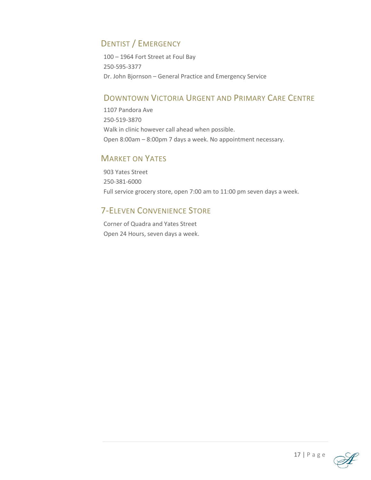## DENTIST / EMERGENCY

100 – 1964 Fort Street at Foul Bay 250-595-3377 Dr. John Bjornson – General Practice and Emergency Service

#### DOWNTOWN VICTORIA URGENT AND PRIMARY CARE CENTRE

1107 Pandora Ave 250-519-3870 Walk in clinic however call ahead when possible. Open 8:00am – 8:00pm 7 days a week. No appointment necessary.

#### MARKET ON YATES

903 Yates Street 250-381-6000 Full service grocery store, open 7:00 am to 11:00 pm seven days a week.

### 7-ELEVEN CONVENIENCE STORE

Corner of Quadra and Yates Street Open 24 Hours, seven days a week.

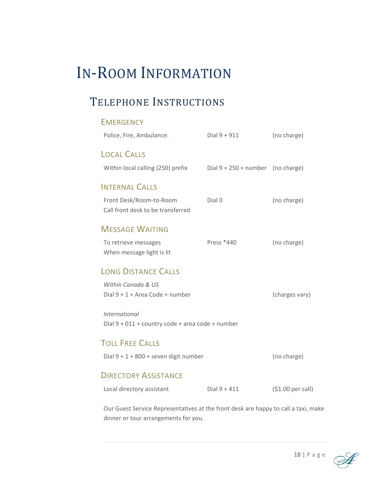# IN-ROOM INFORMATION

# TELEPHONE INSTRUCTIONS

|                                                  | <b>EMERGENCY</b>                                             |                                     |                   |  |
|--------------------------------------------------|--------------------------------------------------------------|-------------------------------------|-------------------|--|
|                                                  | Police, Fire, Ambulance:                                     | Dial $9 + 911$                      | (no charge)       |  |
|                                                  | <b>LOCAL CALLS</b>                                           |                                     |                   |  |
|                                                  | Within local calling (250) prefix                            | Dial $9 + 250 +$ number (no charge) |                   |  |
|                                                  | <b>INTERNAL CALLS</b>                                        |                                     |                   |  |
|                                                  | Front Desk/Room-to-Room<br>Call front desk to be transferred | Dial 0                              | (no charge)       |  |
|                                                  | <b>MESSAGE WAITING</b>                                       |                                     |                   |  |
|                                                  | To retrieve messages<br>When message light is lit            | Press *440                          | (no charge)       |  |
|                                                  | <b>LONG DISTANCE CALLS</b>                                   |                                     |                   |  |
|                                                  | Within Canada & US                                           |                                     |                   |  |
|                                                  | Dial 9 + 1 + Area Code + number                              |                                     | (charges vary)    |  |
|                                                  | International                                                |                                     |                   |  |
| Dial 9 + 011 + country code + area code + number |                                                              |                                     |                   |  |
|                                                  | <b>TOLL FREE CALLS</b>                                       |                                     |                   |  |
|                                                  | Dial $9 + 1 + 800 +$ seven digit number                      |                                     | (no charge)       |  |
|                                                  | <b>DIRECTORY ASSISTANCE</b>                                  |                                     |                   |  |
|                                                  | Local directory assistant                                    | $Dial 9 + 411$                      | (\$1.00 per call) |  |
|                                                  |                                                              |                                     |                   |  |

Our Guest Service Representatives at the front desk are happy to call a taxi, make dinner or tour arrangements for you.

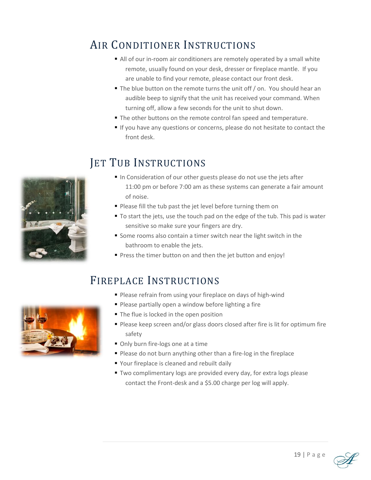# AIR CONDITIONER INSTRUCTIONS

- All of our in-room air conditioners are remotely operated by a small white remote, usually found on your desk, dresser or fireplace mantle. If you are unable to find your remote, please contact our front desk.
- The blue button on the remote turns the unit off / on. You should hear an audible beep to signify that the unit has received your command. When turning off, allow a few seconds for the unit to shut down.
- The other buttons on the remote control fan speed and temperature.
- If you have any questions or concerns, please do not hesitate to contact the front desk.

## JET TUB INSTRUCTIONS

- In Consideration of our other guests please do not use the jets after 11:00 pm or before 7:00 am as these systems can generate a fair amount of noise.
- Please fill the tub past the jet level before turning them on
- To start the jets, use the touch pad on the edge of the tub. This pad is water sensitive so make sure your fingers are dry.
- Some rooms also contain a timer switch near the light switch in the bathroom to enable the jets.
- Press the timer button on and then the jet button and enjoy!

## FIREPLACE INSTRUCTIONS

- **Please refrain from using your fireplace on days of high-wind**
- Please partially open a window before lighting a fire
- The flue is locked in the open position
- Please keep screen and/or glass doors closed after fire is lit for optimum fire safety
- Only burn fire-logs one at a time
- Please do not burn anything other than a fire-log in the fireplace
- Your fireplace is cleaned and rebuilt daily
- **Two complimentary logs are provided every day, for extra logs please** contact the Front-desk and a \$5.00 charge per log will apply.



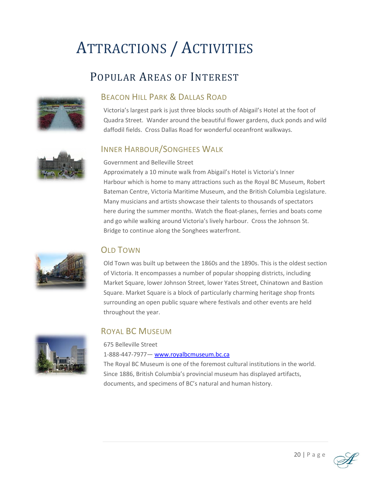# ATTRACTIONS / ACTIVITIES

# POPULAR AREAS OF INTEREST



#### BEACON HILL PARK & DALLAS ROAD

Victoria's largest park is just three blocks south of Abigail's Hotel at the foot of Quadra Street. Wander around the beautiful flower gardens, duck ponds and wild daffodil fields. Cross Dallas Road for wonderful oceanfront walkways.

#### INNER HARBOUR/SONGHEES WALK

#### Government and Belleville Street

Approximately a 10 minute walk from Abigail's Hotel is Victoria's Inner Harbour which is home to many attractions such as the Royal BC Museum, Robert Bateman Centre, Victoria Maritime Museum, and the British Columbia Legislature. Many musicians and artists showcase their talents to thousands of spectators here during the summer months. Watch the float-planes, ferries and boats come and go while walking around Victoria's lively harbour. Cross the Johnson St. Bridge to continue along the Songhees waterfront.



#### OLD TOWN

Old Town was built up between the 1860s and the 1890s. This is the oldest section of Victoria. It encompasses a number of popular shopping districts, including Market Square, lower Johnson Street, lower Yates Street, Chinatown and Bastion Square. Market Square is a block of particularly charming heritage shop fronts surrounding an open public square where festivals and other events are held throughout the year.



### ROYAL BC MUSEUM

675 Belleville Street

1-888-447-7977— [www.royalbcmuseum.bc.ca](http://www.royalbcmuseum.bc.ca/) 

The Royal BC Museum is one of the foremost cultural institutions in the world. Since 1886, British Columbia's provincial museum has displayed artifacts, documents, and specimens of BC's natural and human history.

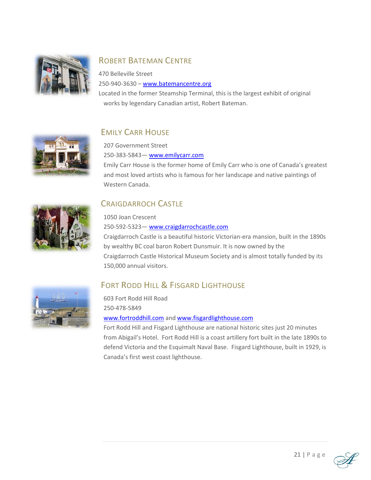

## ROBERT BATEMAN CENTRE

470 Belleville Street 250-940-3630 – [www.batemancentre.org](http://www.batemancentre.org/)

Located in the former Steamship Terminal, this is the largest exhibit of original works by legendary Canadian artist, Robert Bateman.



## EMILY CARR HOUSE

207 Government Street

250-383-5843— [www.emilycarr.com](http://www.emilycarr.com/)

Emily Carr House is the former home of Emily Carr who is one of Canada's greatest and most loved artists who is famous for her landscape and native paintings of Western Canada.



### CRAIGDARROCH CASTLE

1050 Joan Crescent

250-592-5323— [www.craigdarrochcastle.com](http://www.craigdarrochcastle.com/)  Craigdarroch Castle is a beautiful historic Victorian-era mansion, built in the 1890s by wealthy BC coal baron Robert Dunsmuir. It is now owned by the Craigdarroch Castle Historical Museum Society and is almost totally funded by its 150,000 annual visitors.



## FORT RODD HILL & FISGARD LIGHTHOUSE

603 Fort Rodd Hill Road 250-478-5849 [www.fortroddhill.com](http://www.fortroddhill.com/) and [www.fisgardlighthouse.com](http://www.fisgardlighthouse.com/)

Fort Rodd Hill and Fisgard Lighthouse are national historic sites just 20 minutes from Abigail's Hotel. Fort Rodd Hill is a coast artillery fort built in the late 1890s to defend Victoria and the Esquimalt Naval Base. Fisgard Lighthouse, built in 1929, is Canada's first west coast lighthouse.

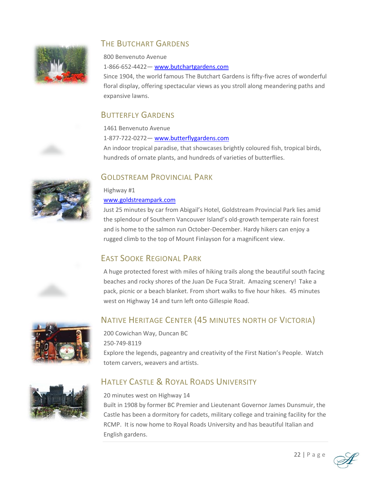

#### THE BUTCHART GARDENS

800 Benvenuto Avenue 1-866-652-4422— [www.butchartgardens.com](http://www.butchartgardens.com/)

Since 1904, the world famous The Butchart Gardens is fifty-five acres of wonderful floral display, offering spectacular views as you stroll along meandering paths and expansive lawns.

#### BUTTERFLY GARDENS

1461 Benvenuto Avenue

1-877-722-0272— [www.butterflygardens.com](http://www.butterflygardens.com/) 

An indoor tropical paradise, that showcases brightly coloured fish, tropical birds, hundreds of ornate plants, and hundreds of varieties of butterflies.

#### GOLDSTREAM PROVINCIAL PARK

## Highway #1

#### [www.goldstreampark.com](http://www.goldstreampark.com/)

Just 25 minutes by car from Abigail's Hotel, Goldstream Provincial Park lies amid the splendour of Southern Vancouver Island's old-growth temperate rain forest and is home to the salmon run October-December. Hardy hikers can enjoy a rugged climb to the top of Mount Finlayson for a magnificent view.

### EAST SOOKE REGIONAL PARK

A huge protected forest with miles of hiking trails along the beautiful south facing beaches and rocky shores of the Juan De Fuca Strait. Amazing scenery! Take a pack, picnic or a beach blanket. From short walks to five hour hikes. 45 minutes west on Highway 14 and turn left onto Gillespie Road.



NATIVE HERITAGE CENTER (45 MINUTES NORTH OF VICTORIA)

200 Cowichan Way, Duncan BC 250-749-8119 Explore the legends, pageantry and creativity of the First Nation's People. Watch totem carvers, weavers and artists.



## HATLEY CASTLE & ROYAL ROADS UNIVERSITY

#### 20 minutes west on Highway 14

Built in 1908 by former BC Premier and Lieutenant Governor James Dunsmuir, the Castle has been a dormitory for cadets, military college and training facility for the RCMP. It is now home to Royal Roads University and has beautiful Italian and English gardens.



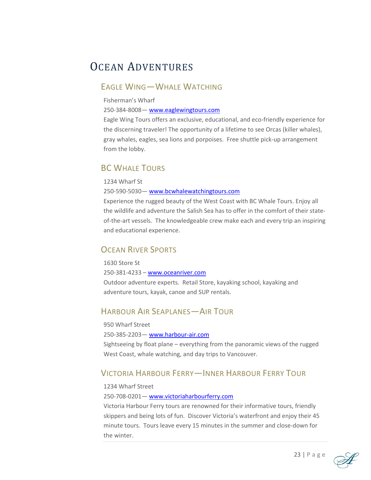# OCEAN ADVENTURES

#### EAGLE WING—WHALE WATCHING

Fisherman's Wharf

250-384-8008— [www.eaglewingtours.com](http://www.eaglewingtours.com/) 

Eagle Wing Tours offers an exclusive, educational, and eco-friendly experience for the discerning traveler! The opportunity of a lifetime to see Orcas (killer whales), gray whales, eagles, sea lions and porpoises. Free shuttle pick-up arrangement from the lobby.

#### **BC WHALE TOURS**

1234 Wharf St

250-590-5030— [www.bcwhalewatchingtours.com](http://www.bcwhalewatchingtours.com/)

Experience the rugged beauty of the West Coast with BC Whale Tours. Enjoy all the wildlife and adventure the Salish Sea has to offer in the comfort of their stateof-the-art vessels. The knowledgeable crew make each and every trip an inspiring and educational experience.

#### OCEAN RIVER SPORTS

1630 Store St

250-381-4233 – [www.oceanriver.com](http://www.oceanriver.com/)

Outdoor adventure experts. Retail Store, kayaking school, kayaking and adventure tours, kayak, canoe and SUP rentals.

#### HARBOUR AIR SEAPLANES—AIR TOUR

950 Wharf Street 250-385-2203— [www.harbour-air.com](http://www.harbour-air.com/)  Sightseeing by float plane – everything from the panoramic views of the rugged West Coast, whale watching, and day trips to Vancouver.

#### VICTORIA HARBOUR FERRY—INNER HARBOUR FERRY TOUR

1234 Wharf Street

#### 250-708-0201— [www.victoriaharbourferry.com](http://www.victoriaharbourferry.com/)

Victoria Harbour Ferry tours are renowned for their informative tours, friendly skippers and being lots of fun. Discover Victoria's waterfront and enjoy their 45 minute tours. Tours leave every 15 minutes in the summer and close-down for the winter.



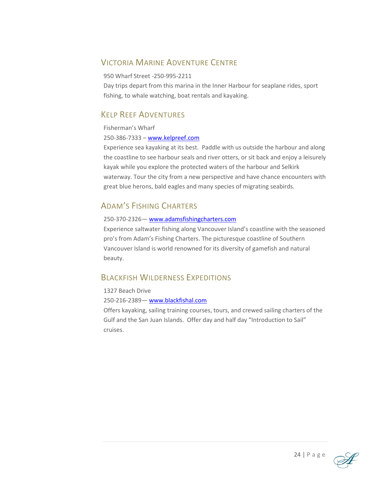#### VICTORIA MARINE ADVENTURE CENTRE

#### 950 Wharf Street -250-995-2211

Day trips depart from this marina in the Inner Harbour for seaplane rides, sport fishing, to whale watching, boat rentals and kayaking.

#### KELP REEF ADVENTURES

Fisherman's Wharf

250-386-7333 – [www.kelpreef.com](http://www.kelpreef.com/)

Experience sea kayaking at its best. Paddle with us outside the harbour and along the coastline to see harbour seals and river otters, or sit back and enjoy a leisurely kayak while you explore the protected waters of the harbour and Selkirk waterway. Tour the city from a new perspective and have chance encounters with great blue herons, bald eagles and many species of migrating seabirds.

#### ADAM'S FISHING CHARTERS

#### 250-370-2326— [www.adamsfishingcharters.com](http://www.adamsfishingcharters.com/)

Experience saltwater fishing along Vancouver Island's coastline with the seasoned pro's from Adam's Fishing Charters. The picturesque coastline of Southern Vancouver Island is world renowned for its diversity of gamefish and natural beauty.

#### BLACKFISH WILDERNESS EXPEDITIONS

1327 Beach Drive 250-216-2389— [www.blackfishal.com](http://www.blackfishal.com/)  Offers kayaking, sailing training courses, tours, and crewed sailing charters of the Gulf and the San Juan Islands. Offer day and half day "Introduction to Sail" cruises.



24 | P a g e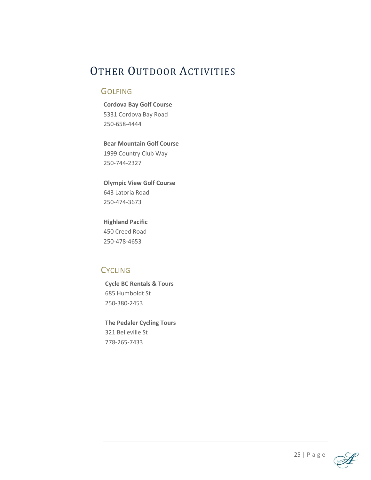# OTHER OUTDOOR ACTIVITIES

#### **GOLFING**

**Cordova Bay Golf Course** 5331 Cordova Bay Road 250-658-4444

**Bear Mountain Golf Course** 1999 Country Club Way 250-744-2327

**Olympic View Golf Course** 643 Latoria Road 250-474-3673

**Highland Pacific** 450 Creed Road 250-478-4653

#### **CYCLING**

**Cycle BC Rentals & Tours** 685 Humboldt St 250-380-2453

**The Pedaler Cycling Tours** 321 Belleville St 778-265-7433

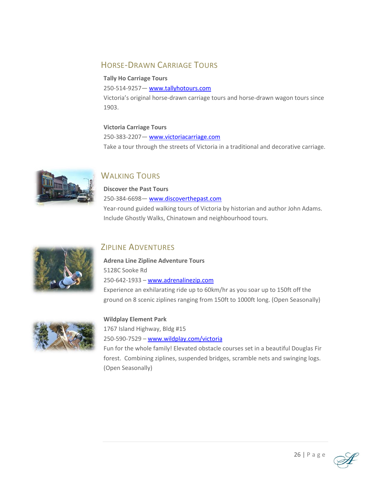#### HORSE-DRAWN CARRIAGE TOURS

#### **Tally Ho Carriage Tours**

250-514-9257— [www.tallyhotours.com](http://www.tallyhotours.com/) 

Victoria's original horse-drawn carriage tours and horse-drawn wagon tours since 1903.

#### **Victoria Carriage Tours**

250-383-2207- www.victoriacarriage.com Take a tour through the streets of Victoria in a traditional and decorative carriage.



### **WALKING TOURS**

#### **Discover the Past Tours** 250-384-6698— [www.discoverthepast.com](http://www.discoverthepast.com/)

Year-round guided walking tours of Victoria by historian and author John Adams. Include Ghostly Walks, Chinatown and neighbourhood tours.



#### ZIPLINE ADVENTURES

**Adrena Line Zipline Adventure Tours** 5128C Sooke Rd 250-642-1933 – [www.adrenalinezip.com](http://www.adrenalinezip.com/)

Experience an exhilarating ride up to 60km/hr as you soar up to 150ft off the ground on 8 scenic ziplines ranging from 150ft to 1000ft long. (Open Seasonally)



#### **Wildplay Element Park**

1767 Island Highway, Bldg #15 250-590-7529 – [www.wildplay.com/victoria](http://www.wildplay.com/victoria)

Fun for the whole family! Elevated obstacle courses set in a beautiful Douglas Fir forest. Combining ziplines, suspended bridges, scramble nets and swinging logs. (Open Seasonally)

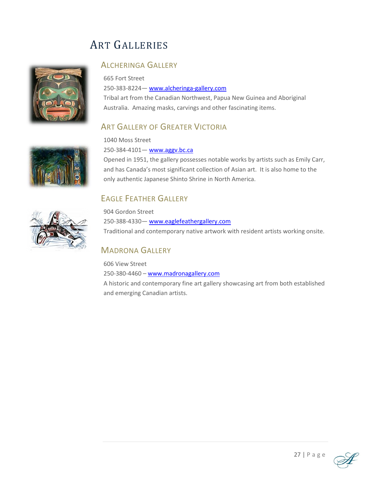# ART GALLERIES



#### ALCHERINGA GALLERY

665 Fort Street 250-383-8224— [www.alcheringa-gallery.com](http://www.alcheringa-gallery.com/)  Tribal art from the Canadian Northwest, Papua New Guinea and Aboriginal Australia. Amazing masks, carvings and other fascinating items.

#### **ART GALLERY OF GREATER VICTORIA**

1040 Moss Street

250-384-4101- www.aggv.bc.ca

Opened in 1951, the gallery possesses notable works by artists such as Emily Carr, and has Canada's most significant collection of Asian art. It is also home to the only authentic Japanese Shinto Shrine in North America.

### EAGLE FEATHER GALLERY



904 Gordon Street 250-388-4330— [www.eaglefeathergallery.com](http://www.eaglefeathergallery.com/)  Traditional and contemporary native artwork with resident artists working onsite.

### MADRONA GALLERY

606 View Street 250-380-4460 – [www.madronagallery.com](http://www.madronagallery.com/) A historic and contemporary fine art gallery showcasing art from both established and emerging Canadian artists.



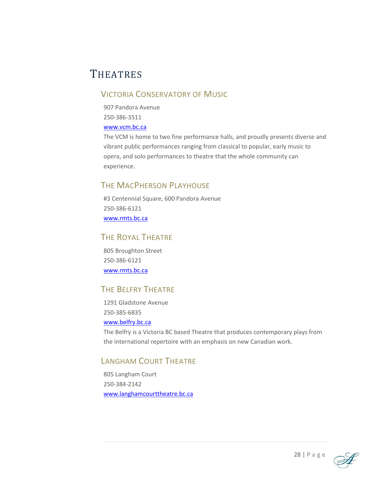# **THEATRES**

#### VICTORIA CONSERVATORY OF MUSIC

907 Pandora Avenue 250-386-3511

#### [www.vcm.bc.ca](http://www.vcm.bc.ca/)

The VCM is home to two fine performance halls, and proudly presents diverse and vibrant public performances ranging from classical to popular, early music to opera, and solo performances to theatre that the whole community can experience.

#### THE MACPHERSON PLAYHOUSE

#3 Centennial Square, 600 Pandora Avenue 250-386-6121 [www.rmts.bc.ca](http://www.rmts.bc.ca/)

#### THE ROYAL THEATRE

805 Broughton Street 250-386-6121 [www.rmts.bc.ca](http://www.rmts.bc.ca/)

#### THE BELFRY THEATRE

1291 Gladstone Avenue 250-385-6835 [www.belfry.bc.ca](http://www.belfry.bc.ca/)

The Belfry is a Victoria BC based Theatre that produces contemporary plays from the international repertoire with an emphasis on new Canadian work.

#### LANGHAM COURT THEATRE

805 Langham Court 250-384-2142 [www.langhamcourttheatre.bc.ca](http://www.langhamcourttheatre.bc.ca/)

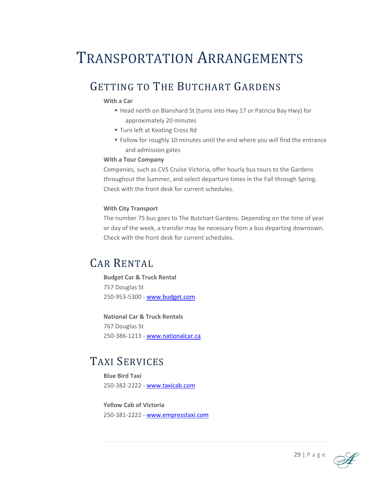# TRANSPORTATION ARRANGEMENTS

# GETTING TO THE BUTCHART GARDENS

#### **With a Car**

- Head north on Blanshard St (turns into Hwy 17 or Patricia Bay Hwy) for approximately 20 minutes
- **Turn left at Keating Cross Rd**
- Follow for roughly 10 minutes until the end where you will find the entrance and admission gates

#### **With a Tour Company**

Companies, such as CVS Cruise Victoria, offer hourly bus tours to the Gardens throughout the Summer, and select departure times in the Fall through Spring. Check with the front desk for current schedules.

#### **With City Transport**

The number 75 bus goes to The Butchart Gardens. Depending on the time of year or day of the week, a transfer may be necessary from a bus departing downtown. Check with the front desk for current schedules.

## CAR RENTAL

**Budget Car & Truck Rental** 757 Douglas St 250-953-5300 - [www.budget.com](http://www.budget.com/) 

**National Car & Truck Rentals** 767 Douglas St 250-386-1213 - [www.nationalcar.ca](http://www.nationalcar.ca/)

## TAXI SERVICES

**Blue Bird Taxi**  250-382-2222 - [www.taxicab.com](http://www.taxicab.com/)

**Yellow Cab of Victoria**  250-381-2222 - [www.empresstaxi.com](http://www.empresstaxi.com/)

29 | P a g e

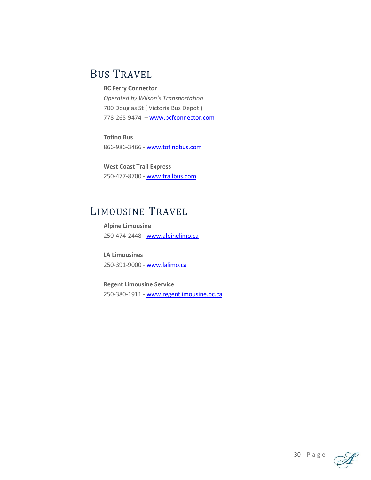# BUS TRAVEL

#### **BC Ferry Connector**

*Operated by Wilson's Transportation* 700 Douglas St ( Victoria Bus Depot ) 778-265-9474 – [www.bcfconnector.com](http://www.bcfconnector.com/) 

**Tofino Bus** 866-986-3466 - [www.tofinobus.com](http://www.tofinobus.com/) 

**West Coast Trail Express** 250-477-8700 - [www.trailbus.com](http://www.trailbus.com/) 

## LIMOUSINE TRAVEL

**Alpine Limousine** 250-474-2448 - [www.alpinelimo.ca](http://www.alpinelimo.ca/) 

**LA Limousines** 250-391-9000 - [www.lalimo.ca](http://www.lalimo.ca/) 

**Regent Limousine Service** 250-380-1911 - [www.regentlimousine.bc.ca](http://www.regentlimousine.bc.ca/)